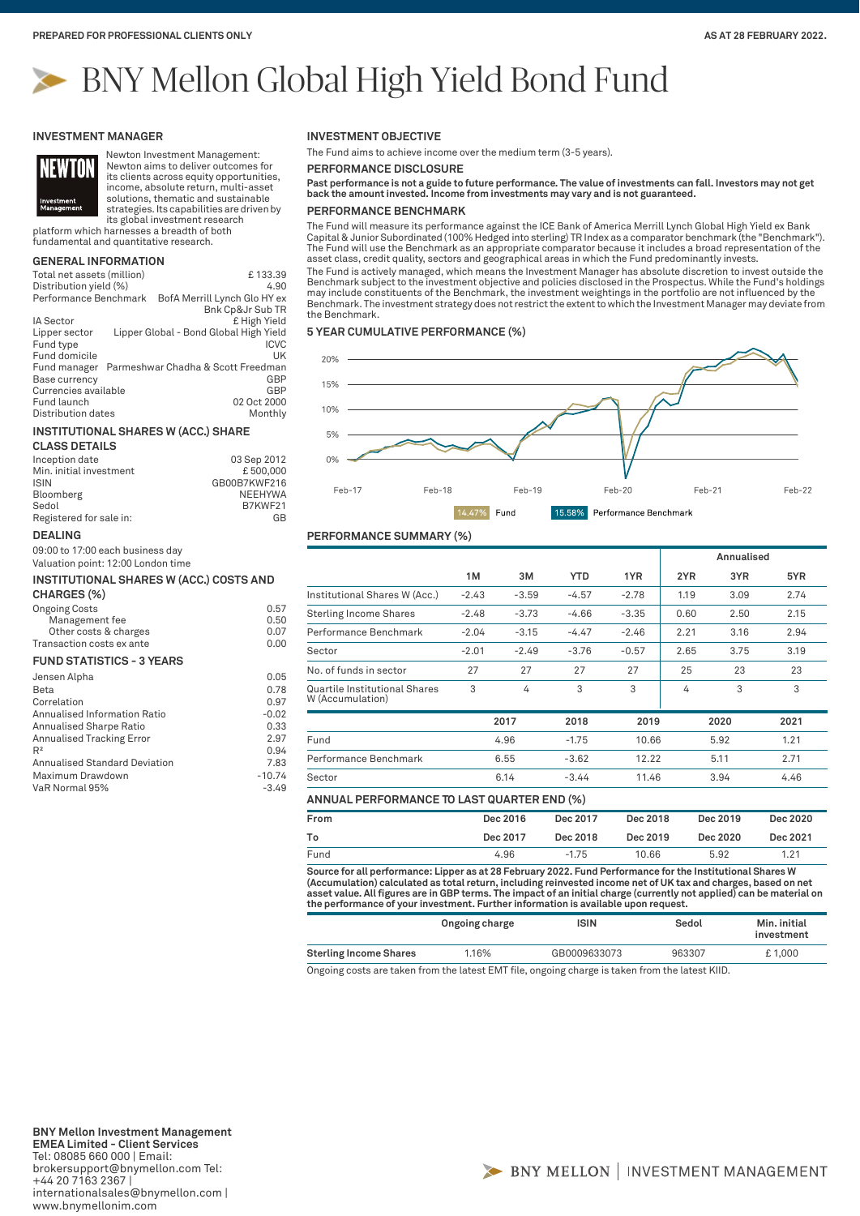# BNY Mellon Global High Yield Bond Fund

## **INVESTMENT MANAGER**



Newton Investment Management: Newton aims to deliver outcomes for its clients across equity opportunities, income, absolute return, multi-asset solutions, thematic and sustainable

strategies. Its capabilities are driven by its global investment research

platform which harnesses a breadth of both fundamental and quantitative research.

# **GENERAL INFORMATION**

| Total net assets (million) | £133.39                                |
|----------------------------|----------------------------------------|
| Distribution yield (%)     | 4.90                                   |
| Performance Benchmark      | BofA Merrill Lynch Glo HY ex           |
|                            | <b>Bnk Cp&amp;Jr Sub TR</b>            |
| <b>IA Sector</b>           | £ High Yield                           |
| Lipper sector              | Lipper Global - Bond Global High Yield |
| Fund type                  | <b>ICVC</b>                            |
| Fund domicile              | UK                                     |
| Fund manager               | Parmeshwar Chadha & Scott Freedman     |
| Base currency              | GBP                                    |
| Currencies available       | GBP                                    |
| Fund launch                | 02 Oct 2000                            |
| Distribution dates         | Monthly                                |

## **INSTITUTIONAL SHARES W (ACC.) SHARE**

| <b>CLASS DETAILS</b>    |                |
|-------------------------|----------------|
| Inception date          | 03 Sep 2012    |
| Min. initial investment | £500.000       |
| <b>ISIN</b>             | GB00B7KWF216   |
| Bloomberg               | <b>NEEHYWA</b> |
| Sedol                   | B7KWF21        |
| Registered for sale in: | G <sub>R</sub> |

#### **DEALING**

09:00 to 17:00 each business day Valuation point: 12:00 London time

#### **INSTITUTIONAL SHARES W (ACC.) COSTS AND CHARGES (%)**

| <b>Ongoing Costs</b>      | 0.57 |
|---------------------------|------|
| Management fee            | 0.50 |
| Other costs & charges     | 0.07 |
| Transaction costs ex ante | 0.00 |
| FUND CTATICTICS OVER DO   |      |

#### **FUND STATISTICS - 3 YEARS**

| Jensen Alpha                         | 0.05     |
|--------------------------------------|----------|
| Beta                                 | 0.78     |
| Correlation                          | 0.97     |
| Annualised Information Ratio         | $-0.02$  |
| Annualised Sharpe Ratio              | 0.33     |
| <b>Annualised Tracking Error</b>     | 2.97     |
| R <sup>2</sup>                       | 0.94     |
| <b>Annualised Standard Deviation</b> | 7.83     |
| Maximum Drawdown                     | $-10.74$ |
| VaR Normal 95%                       | $-3.49$  |
|                                      |          |

## **INVESTMENT OBJECTIVE**

The Fund aims to achieve income over the medium term (3-5 years).

**PERFORMANCE DISCLOSURE**

**Past performance is not a guide to future performance. The value of investments can fall. Investors may not get back the amount invested. Income from investments may vary and is not guaranteed.**

## **PERFORMANCE BENCHMARK**

The Fund will measure its performance against the ICE Bank of America Merrill Lynch Global High Yield ex Bank Capital & Junior Subordinated (100% Hedged into sterling) TR Index as a comparator benchmark (the "Benchmark"). The Fund will use the Benchmark as an appropriate comparator because it includes a broad representation of the asset class, credit quality, sectors and geographical areas in which the Fund predominantly invests. The Fund is actively managed, which means the Investment Manager has absolute discretion to invest outside the Benchmark subject to the investment objective and policies disclosed in the Prospectus. While the Fund's holdings

may include constituents of the Benchmark, the investment weightings in the portfolio are not influenced by the<br>Benchmark. The investment strategy does not restrict the extent to which the Investment Manager may deviate fr the Benchmark.

## **5 YEAR CUMULATIVE PERFORMANCE (%)**



## **PERFORMANCE SUMMARY (%)**

|                                                   |         |         |            |         |      | Annualised |      |
|---------------------------------------------------|---------|---------|------------|---------|------|------------|------|
|                                                   | 1M      | 3M      | <b>YTD</b> | 1YR     | 2YR  | 3YR        | 5YR  |
| Institutional Shares W (Acc.)                     | $-2.43$ | $-3.59$ | $-4.57$    | $-2.78$ | 1.19 | 3.09       | 2.74 |
| <b>Sterling Income Shares</b>                     | $-2.48$ | $-3.73$ | $-4.66$    | $-3.35$ | 0.60 | 2.50       | 2.15 |
| Performance Benchmark                             | $-2.04$ | $-3.15$ | $-4.47$    | $-2.46$ | 2.21 | 3.16       | 2.94 |
| Sector                                            | $-2.01$ | $-2.49$ | $-3.76$    | $-0.57$ | 2.65 | 3.75       | 3.19 |
| No. of funds in sector                            | 27      | 27      | 27         | 27      | 25   | 23         | 23   |
| Quartile Institutional Shares<br>W (Accumulation) | 3       | 4       | 3          | 3       | 4    | 3          | 3    |
|                                                   |         | 2017    | 2018       | 2019    |      | 2020       | 2021 |
| Fund                                              |         | 4.96    | $-1.75$    | 10.66   |      | 5.92       | 1.21 |
| Performance Benchmark                             |         | 6.55    | $-3.62$    | 12.22   |      | 5.11       | 2.71 |
| Sector                                            |         | 6.14    | $-3.44$    | 11.46   |      | 3.94       | 4.46 |

## **ANNUAL PERFORMANCE TO LAST QUARTER END (%)**

| From | Dec 2016 | Dec 2017 | Dec 2018 | Dec 2019 | Dec 2020 |
|------|----------|----------|----------|----------|----------|
| To   | Dec 2017 | Dec 2018 | Dec 2019 | Dec 2020 | Dec 2021 |
| Fund | 4.96     | $-1.75$  | 10.66    | 5.92     | 1.21     |
|      |          |          |          |          |          |

**Source for all performance: Lipper as at 28 February 2022. Fund Performance for the Institutional Shares W (Accumulation) calculated as total return, including reinvested income net of UK tax and charges, based on net asset value. All figures are in GBP terms. The impact of an initial charge (currently not applied) can be material on the performance of your investment. Further information is available upon request.**

|                               | Ongoing charge | ISIN         | Sedol  | Min. initial<br>investment |
|-------------------------------|----------------|--------------|--------|----------------------------|
| <b>Sterling Income Shares</b> | 1.16%          | GB0009633073 | 963307 | £1.000                     |

Ongoing costs are taken from the latest EMT file, ongoing charge is taken from the latest KIID.